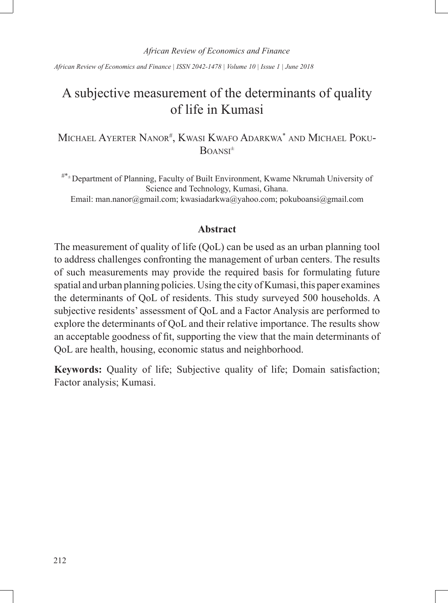*African Review of Economics and Finance | ISSN 2042-1478 | Volume 10 | Issue 1 | June 2018*

# A subjective measurement of the determinants of quality of life in Kumasi

Michael Ayerter Nanor<sup>#</sup>, Kwasi Kwafo Adarkwa\* and Michael Poku-Boansi ±

#\*± Department of Planning, Faculty of Built Environment, Kwame Nkrumah University of Science and Technology, Kumasi, Ghana. Email: man.nanor@gmail.com; kwasiadarkwa@yahoo.com; pokuboansi@gmail.com

#### **Abstract**

The measurement of quality of life (QoL) can be used as an urban planning tool to address challenges confronting the management of urban centers. The results of such measurements may provide the required basis for formulating future spatial and urban planning policies. Using the city of Kumasi, this paper examines the determinants of QoL of residents. This study surveyed 500 households. A subjective residents' assessment of QoL and a Factor Analysis are performed to explore the determinants of QoL and their relative importance. The results show an acceptable goodness of fit, supporting the view that the main determinants of QoL are health, housing, economic status and neighborhood.

**Keywords:** Quality of life; Subjective quality of life; Domain satisfaction; Factor analysis; Kumasi.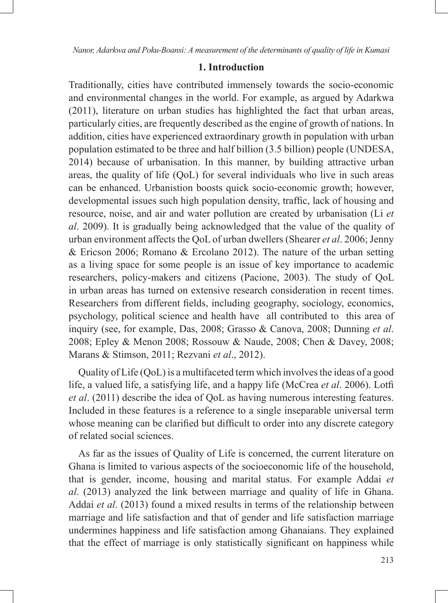## **1. Introduction**

Traditionally, cities have contributed immensely towards the socio-economic and environmental changes in the world. For example, as argued by Adarkwa (2011), literature on urban studies has highlighted the fact that urban areas, particularly cities, are frequently described as the engine of growth of nations. In addition, cities have experienced extraordinary growth in population with urban population estimated to be three and half billion (3.5 billion) people (UNDESA, 2014) because of urbanisation. In this manner, by building attractive urban areas, the quality of life (QoL) for several individuals who live in such areas can be enhanced. Urbanistion boosts quick socio-economic growth; however, developmental issues such high population density, traffic, lack of housing and resource, noise, and air and water pollution are created by urbanisation (Li *et al*. 2009). It is gradually being acknowledged that the value of the quality of urban environment affects the QoL of urban dwellers (Shearer *et al*. 2006; Jenny & Ericson 2006; Romano & Ercolano 2012). The nature of the urban setting as a living space for some people is an issue of key importance to academic researchers, policy-makers and citizens (Pacione, 2003). The study of QoL in urban areas has turned on extensive research consideration in recent times. Researchers from different fields, including geography, sociology, economics, psychology, political science and health have all contributed to this area of inquiry (see, for example, Das, 2008; Grasso & Canova, 2008; Dunning *et al*. 2008; Epley & Menon 2008; Rossouw & Naude, 2008; Chen & Davey, 2008; Marans & Stimson, 2011; Rezvani *et al*., 2012).

Quality of Life (QoL) is a multifaceted term which involves the ideas of a good life, a valued life, a satisfying life, and a happy life (McCrea *et al*. 2006). Lotfi *et al*. (2011) describe the idea of QoL as having numerous interesting features. Included in these features is a reference to a single inseparable universal term whose meaning can be clarified but difficult to order into any discrete category of related social sciences.

As far as the issues of Quality of Life is concerned, the current literature on Ghana is limited to various aspects of the socioeconomic life of the household, that is gender, income, housing and marital status. For example Addai *et al*. (2013) analyzed the link between marriage and quality of life in Ghana. Addai *et al*. (2013) found a mixed results in terms of the relationship between marriage and life satisfaction and that of gender and life satisfaction marriage undermines happiness and life satisfaction among Ghanaians. They explained that the effect of marriage is only statistically significant on happiness while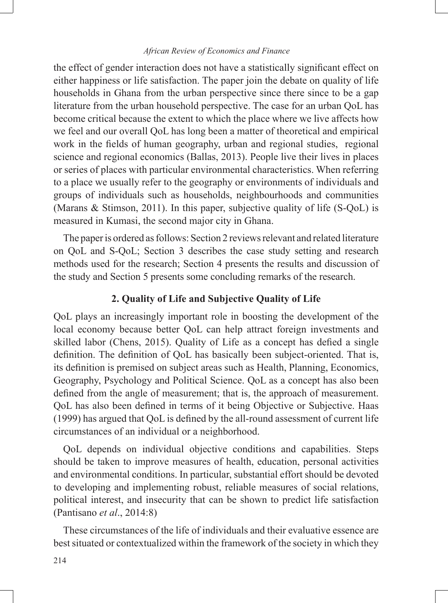the effect of gender interaction does not have a statistically significant effect on either happiness or life satisfaction. The paper join the debate on quality of life households in Ghana from the urban perspective since there since to be a gap literature from the urban household perspective. The case for an urban QoL has become critical because the extent to which the place where we live affects how we feel and our overall QoL has long been a matter of theoretical and empirical work in the fields of human geography, urban and regional studies, regional science and regional economics (Ballas, 2013). People live their lives in places or series of places with particular environmental characteristics. When referring to a place we usually refer to the geography or environments of individuals and groups of individuals such as households, neighbourhoods and communities (Marans & Stimson, 2011). In this paper, subjective quality of life (S-QoL) is measured in Kumasi, the second major city in Ghana.

The paper is ordered as follows: Section 2 reviews relevant and related literature on QoL and S-QoL; Section 3 describes the case study setting and research methods used for the research; Section 4 presents the results and discussion of the study and Section 5 presents some concluding remarks of the research.

## **2. Quality of Life and Subjective Quality of Life**

QoL plays an increasingly important role in boosting the development of the local economy because better QoL can help attract foreign investments and skilled labor (Chens, 2015). Quality of Life as a concept has defied a single definition. The definition of QoL has basically been subject-oriented. That is, its definition is premised on subject areas such as Health, Planning, Economics, Geography, Psychology and Political Science. QoL as a concept has also been defined from the angle of measurement; that is, the approach of measurement. QoL has also been defined in terms of it being Objective or Subjective. Haas (1999) has argued that QoL is defined by the all-round assessment of current life circumstances of an individual or a neighborhood.

QoL depends on individual objective conditions and capabilities. Steps should be taken to improve measures of health, education, personal activities and environmental conditions. In particular, substantial effort should be devoted to developing and implementing robust, reliable measures of social relations, political interest, and insecurity that can be shown to predict life satisfaction (Pantisano *et al*., 2014:8)

These circumstances of the life of individuals and their evaluative essence are best situated or contextualized within the framework of the society in which they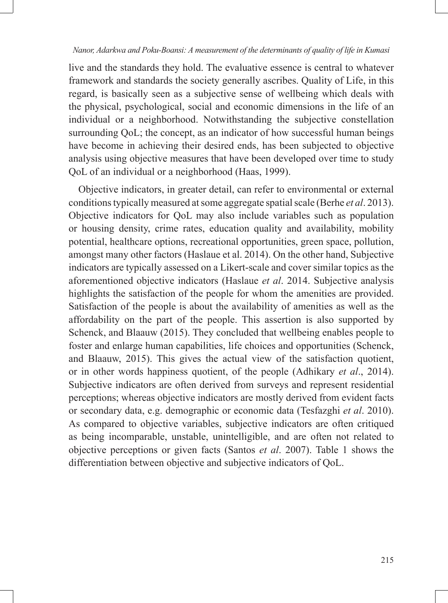live and the standards they hold. The evaluative essence is central to whatever framework and standards the society generally ascribes. Quality of Life, in this regard, is basically seen as a subjective sense of wellbeing which deals with the physical, psychological, social and economic dimensions in the life of an individual or a neighborhood. Notwithstanding the subjective constellation surrounding QoL; the concept, as an indicator of how successful human beings have become in achieving their desired ends, has been subjected to objective analysis using objective measures that have been developed over time to study QoL of an individual or a neighborhood (Haas, 1999).

Objective indicators, in greater detail, can refer to environmental or external conditions typically measured at some aggregate spatial scale (Berhe *et al*. 2013). Objective indicators for QoL may also include variables such as population or housing density, crime rates, education quality and availability, mobility potential, healthcare options, recreational opportunities, green space, pollution, amongst many other factors (Haslaue et al. 2014). On the other hand, Subjective indicators are typically assessed on a Likert-scale and cover similar topics as the aforementioned objective indicators (Haslaue *et al*. 2014. Subjective analysis highlights the satisfaction of the people for whom the amenities are provided. Satisfaction of the people is about the availability of amenities as well as the affordability on the part of the people. This assertion is also supported by Schenck, and Blaauw (2015). They concluded that wellbeing enables people to foster and enlarge human capabilities, life choices and opportunities (Schenck, and Blaauw, 2015). This gives the actual view of the satisfaction quotient, or in other words happiness quotient, of the people (Adhikary *et al*., 2014). Subjective indicators are often derived from surveys and represent residential perceptions; whereas objective indicators are mostly derived from evident facts or secondary data, e.g. demographic or economic data (Tesfazghi *et al*. 2010). As compared to objective variables, subjective indicators are often critiqued as being incomparable, unstable, unintelligible, and are often not related to objective perceptions or given facts (Santos *et al*. 2007). Table 1 shows the differentiation between objective and subjective indicators of QoL.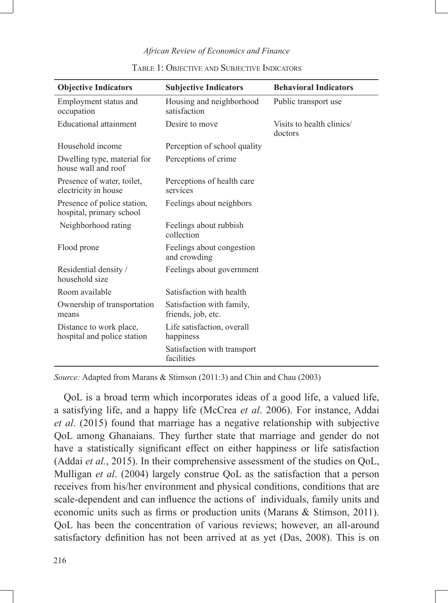| <b>Objective Indicators</b>                             | <b>Subjective Indicators</b>                    | <b>Behavioral Indicators</b>         |
|---------------------------------------------------------|-------------------------------------------------|--------------------------------------|
| Employment status and<br>occupation                     | Housing and neighborhood<br>satisfaction        | Public transport use                 |
| Educational attainment                                  | Desire to move                                  | Visits to health clinics/<br>doctors |
| Household income                                        | Perception of school quality                    |                                      |
| Dwelling type, material for<br>house wall and roof      | Perceptions of crime                            |                                      |
| Presence of water, toilet,<br>electricity in house      | Perceptions of health care<br>services          |                                      |
| Presence of police station,<br>hospital, primary school | Feelings about neighbors                        |                                      |
| Neighborhood rating                                     | Feelings about rubbish<br>collection            |                                      |
| Flood prone                                             | Feelings about congestion<br>and crowding       |                                      |
| Residential density /<br>household size                 | Feelings about government                       |                                      |
| Room available                                          | Satisfaction with health                        |                                      |
| Ownership of transportation<br>means                    | Satisfaction with family,<br>friends, job, etc. |                                      |
| Distance to work place,<br>hospital and police station  | Life satisfaction, overall<br>happiness         |                                      |
|                                                         | Satisfaction with transport<br>facilities       |                                      |

#### Table 1: Objective and Subjective Indicators

*Source:* Adapted from Marans & Stimson (2011:3) and Chin and Chau (2003)

QoL is a broad term which incorporates ideas of a good life, a valued life, a satisfying life, and a happy life (McCrea *et al*. 2006). For instance, Addai *et al*. (2015) found that marriage has a negative relationship with subjective QoL among Ghanaians. They further state that marriage and gender do not have a statistically significant effect on either happiness or life satisfaction (Addai *et al.*, 2015). In their comprehensive assessment of the studies on QoL, Mulligan *et al*. (2004) largely construe QoL as the satisfaction that a person receives from his/her environment and physical conditions, conditions that are scale-dependent and can influence the actions of individuals, family units and economic units such as firms or production units (Marans & Stimson, 2011). QoL has been the concentration of various reviews; however, an all-around satisfactory definition has not been arrived at as yet (Das, 2008). This is on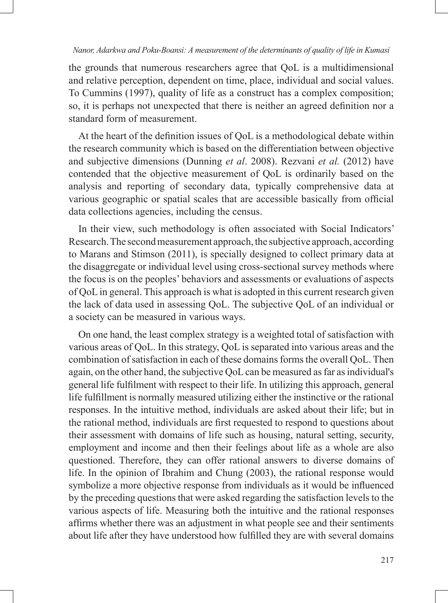the grounds that numerous researchers agree that QoL is a multidimensional and relative perception, dependent on time, place, individual and social values. To Cummins (1997), quality of life as a construct has a complex composition; so, it is perhaps not unexpected that there is neither an agreed definition nor a standard form of measurement.

At the heart of the definition issues of QoL is a methodological debate within the research community which is based on the differentiation between objective and subjective dimensions (Dunning *et al*. 2008). Rezvani *et al.* (2012) have contended that the objective measurement of QoL is ordinarily based on the analysis and reporting of secondary data, typically comprehensive data at various geographic or spatial scales that are accessible basically from official data collections agencies, including the census.

In their view, such methodology is often associated with Social Indicators' Research. The second measurement approach, the subjective approach, according to Marans and Stimson (2011), is specially designed to collect primary data at the disaggregate or individual level using cross-sectional survey methods where the focus is on the peoples' behaviors and assessments or evaluations of aspects of QoL in general. This approach is what is adopted in this current research given the lack of data used in assessing QoL. The subjective QoL of an individual or a society can be measured in various ways.

On one hand, the least complex strategy is a weighted total of satisfaction with various areas of QoL. In this strategy, QoL is separated into various areas and the combination of satisfaction in each of these domains forms the overall QoL. Then again, on the other hand, the subjective QoL can be measured as far as individual's general life fulfilment with respect to their life. In utilizing this approach, general life fulfillment is normally measured utilizing either the instinctive or the rational responses. In the intuitive method, individuals are asked about their life; but in the rational method, individuals are first requested to respond to questions about their assessment with domains of life such as housing, natural setting, security, employment and income and then their feelings about life as a whole are also questioned. Therefore, they can offer rational answers to diverse domains of life. In the opinion of Ibrahim and Chung (2003), the rational response would symbolize a more objective response from individuals as it would be influenced by the preceding questions that were asked regarding the satisfaction levels to the various aspects of life. Measuring both the intuitive and the rational responses affirms whether there was an adjustment in what people see and their sentiments about life after they have understood how fulfilled they are with several domains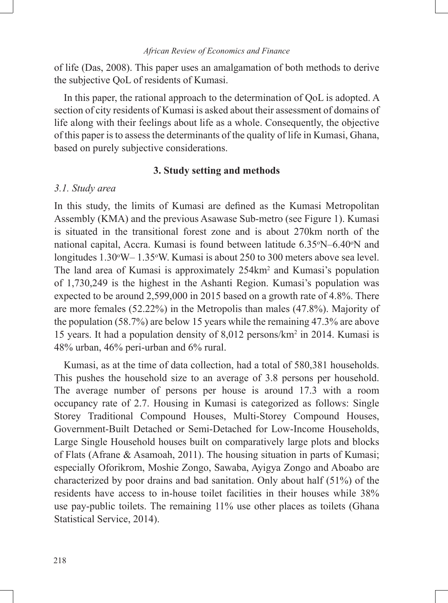of life (Das, 2008). This paper uses an amalgamation of both methods to derive the subjective QoL of residents of Kumasi.

In this paper, the rational approach to the determination of QoL is adopted. A section of city residents of Kumasi is asked about their assessment of domains of life along with their feelings about life as a whole. Consequently, the objective of this paper is to assess the determinants of the quality of life in Kumasi, Ghana, based on purely subjective considerations.

#### **3. Study setting and methods**

#### *3.1. Study area*

In this study, the limits of Kumasi are defined as the Kumasi Metropolitan Assembly (KMA) and the previous Asawase Sub-metro (see Figure 1). Kumasi is situated in the transitional forest zone and is about 270km north of the national capital, Accra. Kumasi is found between latitude 6.35°N–6.40°N and longitudes 1.30°W–1.35°W. Kumasi is about 250 to 300 meters above sea level. The land area of Kumasi is approximately 254km<sup>2</sup> and Kumasi's population of 1,730,249 is the highest in the Ashanti Region. Kumasi's population was expected to be around 2,599,000 in 2015 based on a growth rate of 4.8%. There are more females (52.22%) in the Metropolis than males (47.8%). Majority of the population (58.7%) are below 15 years while the remaining 47.3% are above 15 years. It had a population density of 8,012 persons/km2 in 2014. Kumasi is 48% urban, 46% peri-urban and 6% rural.

Kumasi, as at the time of data collection, had a total of 580,381 households. This pushes the household size to an average of 3.8 persons per household. The average number of persons per house is around 17.3 with a room occupancy rate of 2.7. Housing in Kumasi is categorized as follows: Single Storey Traditional Compound Houses, Multi-Storey Compound Houses, Government-Built Detached or Semi-Detached for Low-Income Households, Large Single Household houses built on comparatively large plots and blocks of Flats (Afrane & Asamoah, 2011). The housing situation in parts of Kumasi; especially Oforikrom, Moshie Zongo, Sawaba, Ayigya Zongo and Aboabo are characterized by poor drains and bad sanitation. Only about half (51%) of the residents have access to in-house toilet facilities in their houses while 38% use pay-public toilets. The remaining 11% use other places as toilets (Ghana Statistical Service, 2014).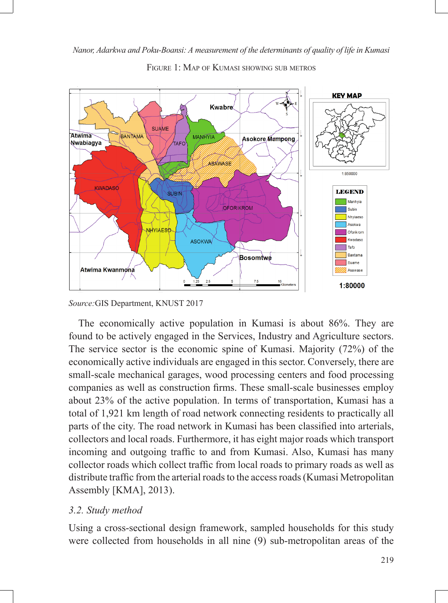

FIGURE 1: MAP OF KUMASI SHOWING SUB METROS

*Source:*GIS Department, KNUST 2017

The economically active population in Kumasi is about 86%. They are found to be actively engaged in the Services, Industry and Agriculture sectors. The service sector is the economic spine of Kumasi. Majority (72%) of the economically active individuals are engaged in this sector. Conversely, there are small-scale mechanical garages, wood processing centers and food processing companies as well as construction firms. These small-scale businesses employ about 23% of the active population. In terms of transportation, Kumasi has a total of 1,921 km length of road network connecting residents to practically all parts of the city. The road network in Kumasi has been classified into arterials, collectors and local roads. Furthermore, it has eight major roads which transport incoming and outgoing traffic to and from Kumasi. Also, Kumasi has many collector roads which collect traffic from local roads to primary roads as well as distribute traffic from the arterial roads to the access roads (Kumasi Metropolitan Assembly [KMA], 2013).

## *3.2. Study method*

Using a cross-sectional design framework, sampled households for this study were collected from households in all nine (9) sub-metropolitan areas of the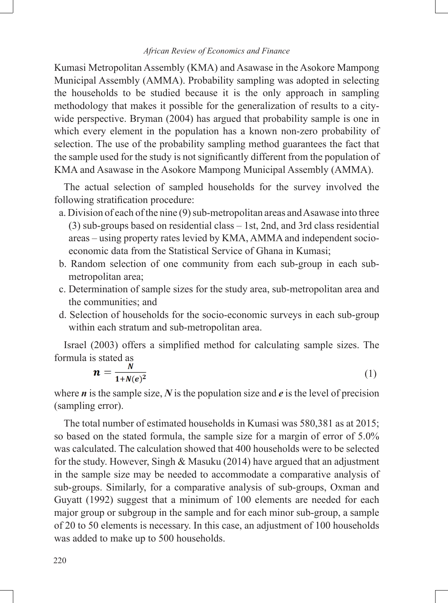Kumasi Metropolitan Assembly (KMA) and Asawase in the Asokore Mampong Municipal Assembly (AMMA). Probability sampling was adopted in selecting the households to be studied because it is the only approach in sampling methodology that makes it possible for the generalization of results to a citywide perspective. Bryman (2004) has argued that probability sample is one in which every element in the population has a known non-zero probability of selection. The use of the probability sampling method guarantees the fact that the sample used for the study is not significantly different from the population of KMA and Asawase in the Asokore Mampong Municipal Assembly (AMMA).

The actual selection of sampled households for the survey involved the following stratification procedure:

- a. Division of each of the nine (9) sub-metropolitan areas and Asawase into three (3) sub-groups based on residential class – 1st, 2nd, and 3rd class residential areas – using property rates levied by KMA, AMMA and independent socioeconomic data from the Statistical Service of Ghana in Kumasi;
- b. Random selection of one community from each sub-group in each submetropolitan area;
- c. Determination of sample sizes for the study area, sub-metropolitan area and the communities; and
- d. Selection of households for the socio-economic surveys in each sub-group within each stratum and sub-metropolitan area.

Israel (2003) offers a simplified method for calculating sample sizes. The formula is stated as

$$
n = \frac{N}{1 + N(e)^2} \tag{1}
$$

where *n* is the sample size, *N* is the population size and *e* is the level of precision (sampling error).

The total number of estimated households in Kumasi was 580,381 as at 2015; so based on the stated formula, the sample size for a margin of error of 5.0% was calculated. The calculation showed that 400 households were to be selected for the study. However, Singh & Masuku (2014) have argued that an adjustment in the sample size may be needed to accommodate a comparative analysis of sub-groups. Similarly, for a comparative analysis of sub-groups, Oxman and Guyatt (1992) suggest that a minimum of 100 elements are needed for each major group or subgroup in the sample and for each minor sub-group, a sample of 20 to 50 elements is necessary. In this case, an adjustment of 100 households was added to make up to 500 households.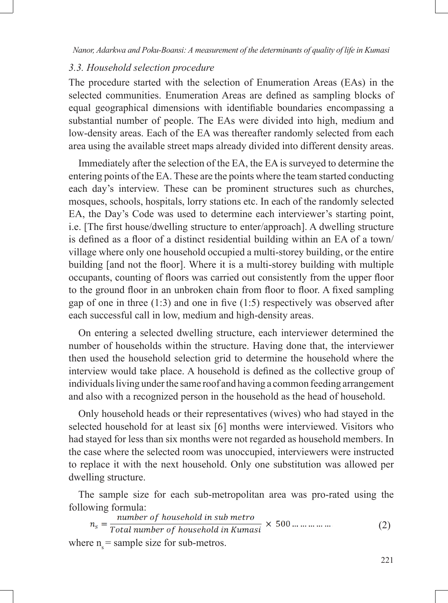### *3.3. Household selection procedure*

The procedure started with the selection of Enumeration Areas (EAs) in the selected communities. Enumeration Areas are defined as sampling blocks of equal geographical dimensions with identifiable boundaries encompassing a substantial number of people. The EAs were divided into high, medium and low-density areas. Each of the EA was thereafter randomly selected from each area using the available street maps already divided into different density areas.

Immediately after the selection of the EA, the EA is surveyed to determine the entering points of the EA. These are the points where the team started conducting each day's interview. These can be prominent structures such as churches, mosques, schools, hospitals, lorry stations etc. In each of the randomly selected EA, the Day's Code was used to determine each interviewer's starting point, i.e. [The first house/dwelling structure to enter/approach]. A dwelling structure is defined as a floor of a distinct residential building within an EA of a town/ village where only one household occupied a multi-storey building, or the entire building [and not the floor]. Where it is a multi-storey building with multiple occupants, counting of floors was carried out consistently from the upper floor to the ground floor in an unbroken chain from floor to floor. A fixed sampling gap of one in three  $(1:3)$  and one in five  $(1:5)$  respectively was observed after each successful call in low, medium and high-density areas.

On entering a selected dwelling structure, each interviewer determined the number of households within the structure. Having done that, the interviewer then used the household selection grid to determine the household where the interview would take place. A household is defined as the collective group of individuals living under the same roof and having a common feeding arrangement and also with a recognized person in the household as the head of household.

Only household heads or their representatives (wives) who had stayed in the selected household for at least six [6] months were interviewed. Visitors who had stayed for less than six months were not regarded as household members. In the case where the selected room was unoccupied, interviewers were instructed to replace it with the next household. Only one substitution was allowed per dwelling structure.

The sample size for each sub-metropolitan area was pro-rated using the

following formula:<br>  $n_s = \frac{number\ of\ household\ in\ sub\ metro}{Total\ number\ of\ household\ in\ Kumasi} \times 500\ ... \ ... \ ... \ ...$ where  $n =$  sample size for sub-metros. (2)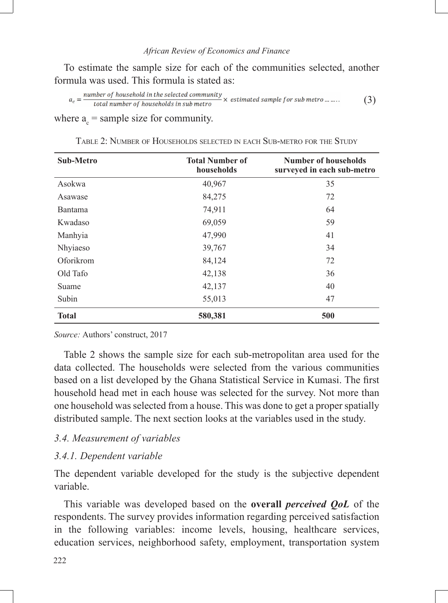To estimate the sample size for each of the communities selected, another formula was used. This formula is stated as:

 $a_c = \frac{number\ of\ household\ in\ the\ selected\ community}{total\ number\ of\ households\ in\ sub\ metro} \times\ estimated\ sample\ for\ sub\ metro\ ... \ ... .$ (3)

where  $a_c$  = sample size for community.

| <b>Sub-Metro</b> | <b>Total Number of</b><br>households | <b>Number of households</b><br>surveyed in each sub-metro |
|------------------|--------------------------------------|-----------------------------------------------------------|
| Asokwa           | 40,967                               | 35                                                        |
| Asawase          | 84,275                               | 72                                                        |
| Bantama          | 74,911                               | 64                                                        |
| Kwadaso          | 69,059                               | 59                                                        |
| Manhyia          | 47,990                               | 41                                                        |
| Nhyiaeso         | 39,767                               | 34                                                        |
| Oforikrom        | 84,124                               | 72                                                        |
| Old Tafo         | 42,138                               | 36                                                        |
| Suame            | 42,137                               | 40                                                        |
| Subin            | 55,013                               | 47                                                        |
| <b>Total</b>     | 580,381                              | 500                                                       |

TABLE 2: NUMBER OF HOUSEHOLDS SELECTED IN EACH SUB-METRO FOR THE STUDY

*Source:* Authors' construct, 2017

Table 2 shows the sample size for each sub-metropolitan area used for the data collected. The households were selected from the various communities based on a list developed by the Ghana Statistical Service in Kumasi. The first household head met in each house was selected for the survey. Not more than one household was selected from a house. This was done to get a proper spatially distributed sample. The next section looks at the variables used in the study.

### *3.4. Measurement of variables*

#### *3.4.1. Dependent variable*

The dependent variable developed for the study is the subjective dependent variable.

This variable was developed based on the **overall** *perceived QoL* of the respondents. The survey provides information regarding perceived satisfaction in the following variables: income levels, housing, healthcare services, education services, neighborhood safety, employment, transportation system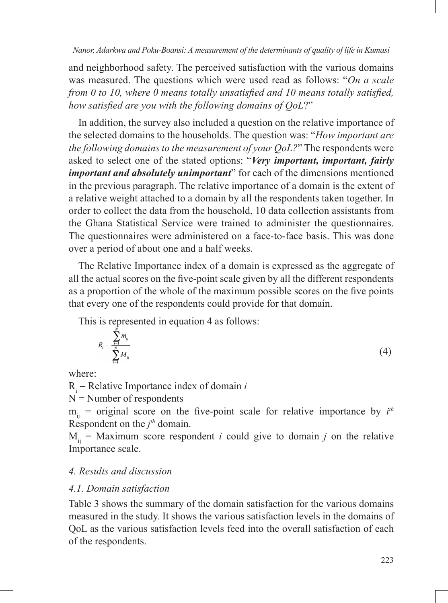and neighborhood safety. The perceived satisfaction with the various domains was measured. The questions which were used read as follows: "*On a scale from 0 to 10, where 0 means totally unsatisfied and 10 means totally satisfied, how satisfied are you with the following domains of QoL*?"

In addition, the survey also included a question on the relative importance of the selected domains to the households. The question was: "*How important are the following domains to the measurement of your QoL?*" The respondents were asked to select one of the stated options: "*Very important, important, fairly important and absolutely unimportant*" for each of the dimensions mentioned in the previous paragraph. The relative importance of a domain is the extent of a relative weight attached to a domain by all the respondents taken together. In order to collect the data from the household, 10 data collection assistants from the Ghana Statistical Service were trained to administer the questionnaires. The questionnaires were administered on a face-to-face basis. This was done over a period of about one and a half weeks.

The Relative Importance index of a domain is expressed as the aggregate of all the actual scores on the five-point scale given by all the different respondents as a proportion of the whole of the maximum possible scores on the five points that every one of the respondents could provide for that domain.

This is represented in equation 4 as follows:

$$
R_i = \frac{\sum_{i=1}^{N} m_{ij}}{\sum_{i=1}^{N} M_{ij}}
$$
\n
$$
(4)
$$

where:

 $R_i$  = Relative Importance index of domain *i* 

 $N =$  Number of respondents

 $m_{ij}$  = original score on the five-point scale for relative importance by  $i^{th}$ Respondent on the  $j<sup>th</sup>$  domain.

 $M_{ii}$  = Maximum score respondent *i* could give to domain *j* on the relative Importance scale.

## *4. Results and discussion*

## *4.1. Domain satisfaction*

Table 3 shows the summary of the domain satisfaction for the various domains measured in the study. It shows the various satisfaction levels in the domains of QoL as the various satisfaction levels feed into the overall satisfaction of each of the respondents.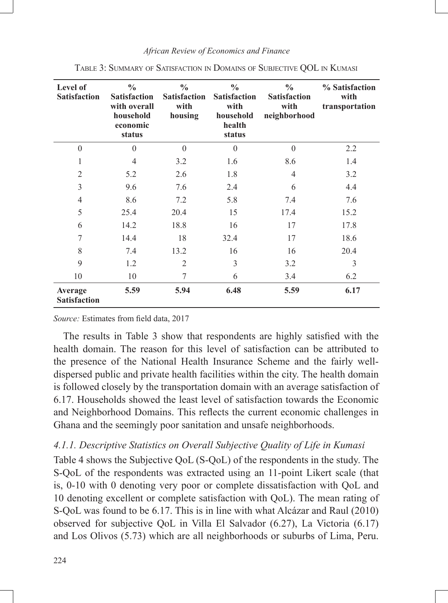| Level of<br><b>Satisfaction</b> | $\frac{0}{0}$<br><b>Satisfaction</b><br>with overall<br>household<br>economic<br>status | $\frac{0}{0}$<br><b>Satisfaction</b><br>with<br>housing | $\frac{0}{0}$<br><b>Satisfaction</b><br>with<br>household<br>health<br>status | $\frac{0}{0}$<br><b>Satisfaction</b><br>with<br>neighborhood | % Satisfaction<br>with<br>transportation |
|---------------------------------|-----------------------------------------------------------------------------------------|---------------------------------------------------------|-------------------------------------------------------------------------------|--------------------------------------------------------------|------------------------------------------|
| $\theta$                        | $\theta$                                                                                | $\theta$                                                | $\Omega$                                                                      | $\Omega$                                                     | 2.2                                      |
| 1                               | $\overline{4}$                                                                          | 3.2                                                     | 1.6                                                                           | 8.6                                                          | 1.4                                      |
| $\mathfrak{2}$                  | 5.2                                                                                     | 2.6                                                     | 1.8                                                                           | 4                                                            | 3.2                                      |
| 3                               | 9.6                                                                                     | 7.6                                                     | 2.4                                                                           | 6                                                            | 4.4                                      |
| $\overline{4}$                  | 8.6                                                                                     | 7.2                                                     | 5.8                                                                           | 7.4                                                          | 7.6                                      |
| 5                               | 25.4                                                                                    | 20.4                                                    | 15                                                                            | 17.4                                                         | 15.2                                     |
| 6                               | 14.2                                                                                    | 18.8                                                    | 16                                                                            | 17                                                           | 17.8                                     |
| 7                               | 14.4                                                                                    | 18                                                      | 32.4                                                                          | 17                                                           | 18.6                                     |
| 8                               | 7.4                                                                                     | 13.2                                                    | 16                                                                            | 16                                                           | 20.4                                     |
| 9                               | 1.2                                                                                     | $\overline{2}$                                          | 3                                                                             | 3.2                                                          | 3                                        |
| 10                              | 10                                                                                      | 7                                                       | 6                                                                             | 3.4                                                          | 6.2                                      |
| Average<br><b>Satisfaction</b>  | 5.59                                                                                    | 5.94                                                    | 6.48                                                                          | 5.59                                                         | 6.17                                     |

Table 3: Summary of Satisfaction in Domains of Subjective QOL in Kumasi

*Source:* Estimates from field data, 2017

The results in Table 3 show that respondents are highly satisfied with the health domain. The reason for this level of satisfaction can be attributed to the presence of the National Health Insurance Scheme and the fairly welldispersed public and private health facilities within the city. The health domain is followed closely by the transportation domain with an average satisfaction of 6.17. Households showed the least level of satisfaction towards the Economic and Neighborhood Domains. This reflects the current economic challenges in Ghana and the seemingly poor sanitation and unsafe neighborhoods.

## *4.1.1. Descriptive Statistics on Overall Subjective Quality of Life in Kumasi*

Table 4 shows the Subjective QoL (S-QoL) of the respondents in the study. The S-QoL of the respondents was extracted using an 11-point Likert scale (that is, 0-10 with 0 denoting very poor or complete dissatisfaction with QoL and 10 denoting excellent or complete satisfaction with QoL). The mean rating of S-QoL was found to be 6.17. This is in line with what Alcázar and Raul (2010) observed for subjective QoL in Villa El Salvador (6.27), La Victoria (6.17) and Los Olivos (5.73) which are all neighborhoods or suburbs of Lima, Peru.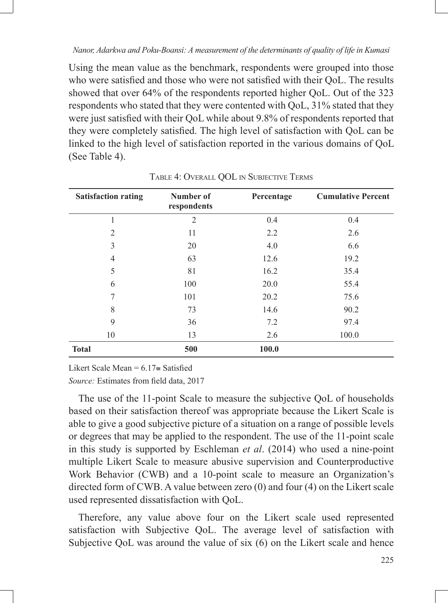Using the mean value as the benchmark, respondents were grouped into those who were satisfied and those who were not satisfied with their QoL. The results showed that over 64% of the respondents reported higher QoL. Out of the 323 respondents who stated that they were contented with QoL, 31% stated that they were just satisfied with their QoL while about 9.8% of respondents reported that they were completely satisfied. The high level of satisfaction with QoL can be linked to the high level of satisfaction reported in the various domains of QoL (See Table 4).

| <b>Satisfaction rating</b> | Number of<br>respondents | Percentage | <b>Cumulative Percent</b> |
|----------------------------|--------------------------|------------|---------------------------|
| 1                          | $\overline{2}$           | 0.4        | 0.4                       |
| $\overline{2}$             | 11                       | 2.2        | 2.6                       |
| 3                          | 20                       | 4.0        | 6.6                       |
| 4                          | 63                       | 12.6       | 19.2                      |
| 5                          | 81                       | 16.2       | 35.4                      |
| 6                          | 100                      | 20.0       | 55.4                      |
| 7                          | 101                      | 20.2       | 75.6                      |
| 8                          | 73                       | 14.6       | 90.2                      |
| 9                          | 36                       | 7.2        | 97.4                      |
| 10                         | 13                       | 2.6        | 100.0                     |
| <b>Total</b>               | 500                      | 100.0      |                           |

Table 4: Overall QOL in Subjective Terms

Likert Scale Mean =  $6.17$   $\approx$  Satisfied

*Source:* Estimates from field data, 2017

The use of the 11-point Scale to measure the subjective QoL of households based on their satisfaction thereof was appropriate because the Likert Scale is able to give a good subjective picture of a situation on a range of possible levels or degrees that may be applied to the respondent. The use of the 11-point scale in this study is supported by Eschleman *et al*. (2014) who used a nine-point multiple Likert Scale to measure abusive supervision and Counterproductive Work Behavior (CWB) and a 10-point scale to measure an Organization's directed form of CWB. A value between zero (0) and four (4) on the Likert scale used represented dissatisfaction with QoL.

Therefore, any value above four on the Likert scale used represented satisfaction with Subjective QoL. The average level of satisfaction with Subjective QoL was around the value of six (6) on the Likert scale and hence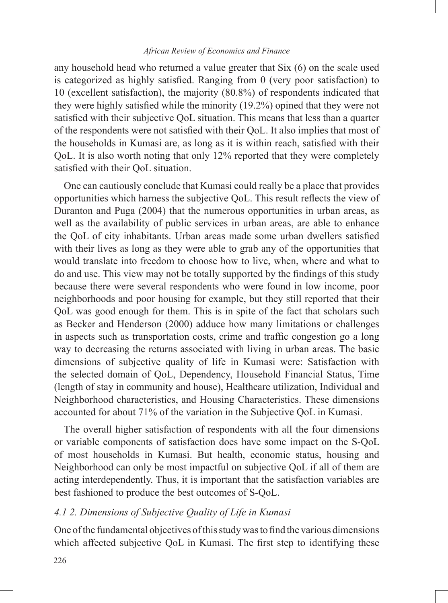any household head who returned a value greater that Six (6) on the scale used is categorized as highly satisfied. Ranging from 0 (very poor satisfaction) to 10 (excellent satisfaction), the majority (80.8%) of respondents indicated that they were highly satisfied while the minority (19.2%) opined that they were not satisfied with their subjective QoL situation. This means that less than a quarter of the respondents were not satisfied with their QoL. It also implies that most of the households in Kumasi are, as long as it is within reach, satisfied with their QoL. It is also worth noting that only 12% reported that they were completely satisfied with their QoL situation.

One can cautiously conclude that Kumasi could really be a place that provides opportunities which harness the subjective QoL. This result reflects the view of Duranton and Puga (2004) that the numerous opportunities in urban areas, as well as the availability of public services in urban areas, are able to enhance the QoL of city inhabitants. Urban areas made some urban dwellers satisfied with their lives as long as they were able to grab any of the opportunities that would translate into freedom to choose how to live, when, where and what to do and use. This view may not be totally supported by the findings of this study because there were several respondents who were found in low income, poor neighborhoods and poor housing for example, but they still reported that their QoL was good enough for them. This is in spite of the fact that scholars such as Becker and Henderson (2000) adduce how many limitations or challenges in aspects such as transportation costs, crime and traffic congestion go a long way to decreasing the returns associated with living in urban areas. The basic dimensions of subjective quality of life in Kumasi were: Satisfaction with the selected domain of QoL, Dependency, Household Financial Status, Time (length of stay in community and house), Healthcare utilization, Individual and Neighborhood characteristics, and Housing Characteristics. These dimensions accounted for about 71% of the variation in the Subjective QoL in Kumasi.

The overall higher satisfaction of respondents with all the four dimensions or variable components of satisfaction does have some impact on the S-QoL of most households in Kumasi. But health, economic status, housing and Neighborhood can only be most impactful on subjective QoL if all of them are acting interdependently. Thus, it is important that the satisfaction variables are best fashioned to produce the best outcomes of S-QoL.

## *4.1 2. Dimensions of Subjective Quality of Life in Kumasi*

One of the fundamental objectives of this study was to find the various dimensions which affected subjective QoL in Kumasi. The first step to identifying these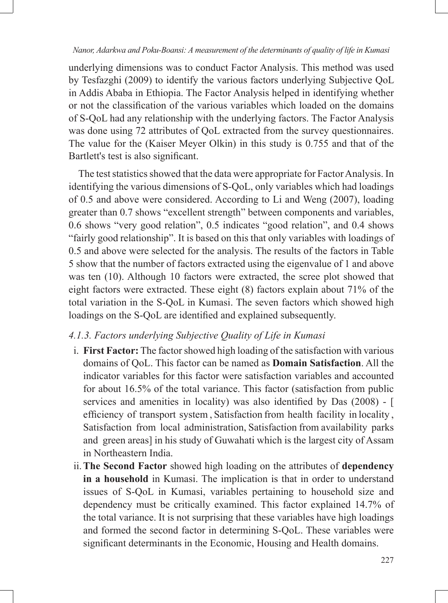underlying dimensions was to conduct Factor Analysis. This method was used by Tesfazghi (2009) to identify the various factors underlying Subjective QoL in Addis Ababa in Ethiopia. The Factor Analysis helped in identifying whether or not the classification of the various variables which loaded on the domains of S-QoL had any relationship with the underlying factors. The Factor Analysis was done using 72 attributes of QoL extracted from the survey questionnaires. The value for the (Kaiser Meyer Olkin) in this study is 0.755 and that of the Bartlett's test is also significant.

The test statistics showed that the data were appropriate for Factor Analysis. In identifying the various dimensions of S-QoL, only variables which had loadings of 0.5 and above were considered. According to Li and Weng (2007), loading greater than 0.7 shows "excellent strength" between components and variables, 0.6 shows "very good relation", 0.5 indicates "good relation", and 0.4 shows "fairly good relationship". It is based on this that only variables with loadings of 0.5 and above were selected for the analysis. The results of the factors in Table 5 show that the number of factors extracted using the eigenvalue of 1 and above was ten (10). Although 10 factors were extracted, the scree plot showed that eight factors were extracted. These eight (8) factors explain about 71% of the total variation in the S-QoL in Kumasi. The seven factors which showed high loadings on the S-QoL are identified and explained subsequently.

## *4.1.3. Factors underlying Subjective Quality of Life in Kumasi*

- i. **First Factor:** The factor showed high loading of the satisfaction with various domains of QoL. This factor can be named as **Domain Satisfaction**. All the indicator variables for this factor were satisfaction variables and accounted for about 16.5% of the total variance. This factor (satisfaction from public services and amenities in locality) was also identified by Das (2008) - [ efficiency of transport system , Satisfaction from health facility in locality , Satisfaction from local administration, Satisfaction from availability parks and green areas] in his study of Guwahati which is the largest city of Assam in Northeastern India.
- ii.**The Second Factor** showed high loading on the attributes of **dependency in a household** in Kumasi. The implication is that in order to understand issues of S-QoL in Kumasi, variables pertaining to household size and dependency must be critically examined. This factor explained 14.7% of the total variance. It is not surprising that these variables have high loadings and formed the second factor in determining S-QoL. These variables were significant determinants in the Economic, Housing and Health domains.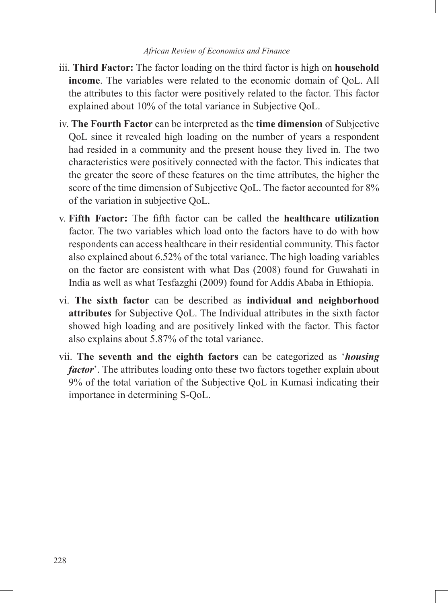- iii. **Third Factor:** The factor loading on the third factor is high on **household income**. The variables were related to the economic domain of QoL. All the attributes to this factor were positively related to the factor. This factor explained about 10% of the total variance in Subjective QoL.
- iv. **The Fourth Factor** can be interpreted as the **time dimension** of Subjective QoL since it revealed high loading on the number of years a respondent had resided in a community and the present house they lived in. The two characteristics were positively connected with the factor. This indicates that the greater the score of these features on the time attributes, the higher the score of the time dimension of Subjective QoL. The factor accounted for 8% of the variation in subjective QoL.
- v. **Fifth Factor:** The fifth factor can be called the **healthcare utilization** factor. The two variables which load onto the factors have to do with how respondents can access healthcare in their residential community. This factor also explained about 6.52% of the total variance. The high loading variables on the factor are consistent with what Das (2008) found for Guwahati in India as well as what Tesfazghi (2009) found for Addis Ababa in Ethiopia.
- vi. **The sixth factor** can be described as **individual and neighborhood attributes** for Subjective QoL. The Individual attributes in the sixth factor showed high loading and are positively linked with the factor. This factor also explains about 5.87% of the total variance.
- vii. **The seventh and the eighth factors** can be categorized as '*housing factor*'. The attributes loading onto these two factors together explain about 9% of the total variation of the Subjective QoL in Kumasi indicating their importance in determining S-QoL.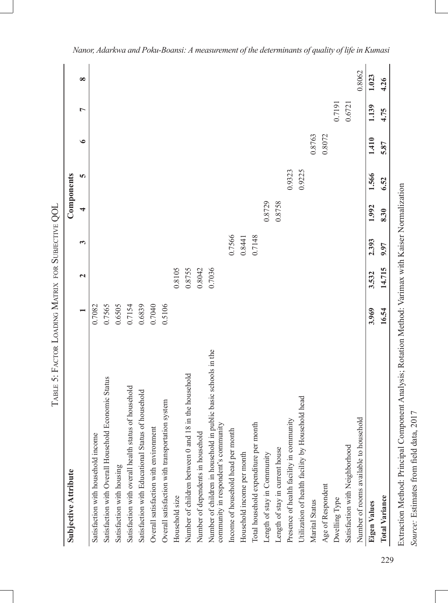|                                                                                                       |        |              |              | Components |        |           |                |          |
|-------------------------------------------------------------------------------------------------------|--------|--------------|--------------|------------|--------|-----------|----------------|----------|
|                                                                                                       |        | $\mathbf{z}$ | $\mathbf{c}$ | 4          | S      | $\bullet$ | $\overline{ }$ | $\infty$ |
| Satisfaction with household income                                                                    | 0.7082 |              |              |            |        |           |                |          |
| Satisfaction with Overall Household Economic Status                                                   | 0.7565 |              |              |            |        |           |                |          |
| Satisfaction with housing                                                                             | 0.6505 |              |              |            |        |           |                |          |
| Satisfaction with overall health status of household                                                  | 0.7154 |              |              |            |        |           |                |          |
| Satisfaction with Educational Status of household                                                     | 0.6839 |              |              |            |        |           |                |          |
| Overall satisfaction with environment                                                                 | 0.7040 |              |              |            |        |           |                |          |
| Overall satisfaction with transportation system                                                       | 0.5106 |              |              |            |        |           |                |          |
| Household size                                                                                        |        | 0.8105       |              |            |        |           |                |          |
| Number of children between 0 and 18 in the household                                                  |        | 0.8755       |              |            |        |           |                |          |
| Number of dependents in household                                                                     |        | 0.8042       |              |            |        |           |                |          |
| Number of children in household in public basic schools in the<br>community in respondent's community |        | 0.7036       |              |            |        |           |                |          |
| Income of household head per month                                                                    |        |              | 0.7566       |            |        |           |                |          |
| Household income per month                                                                            |        |              | 0.8441       |            |        |           |                |          |
| Total household expenditure per month                                                                 |        |              | 0.7148       |            |        |           |                |          |
| Length of stay in Community                                                                           |        |              |              | 0.8729     |        |           |                |          |
| Length of stay in current house                                                                       |        |              |              | 0.8758     |        |           |                |          |
| Presence of health facility in community                                                              |        |              |              |            | 0.9323 |           |                |          |
| Utilization of health facility by Household head                                                      |        |              |              |            | 0.9225 |           |                |          |
| Marital Status                                                                                        |        |              |              |            |        | 0.8763    |                |          |
| Age of Respondent                                                                                     |        |              |              |            |        | 0.8072    |                |          |
| Dwelling Type                                                                                         |        |              |              |            |        |           | 0.7191         |          |
| Satisfaction with Neighborhood                                                                        |        |              |              |            |        |           | 0.6721         |          |
| Number of rooms available to household                                                                |        |              |              |            |        |           |                | 0.8062   |
| Eigen Values                                                                                          | 3.969  | 3.532        | 2.393        | 1.992      | 1.566  | 1.410     | 1.139          | 1.023    |
| <b>Total Variance</b>                                                                                 | 16.54  | 14.715       | 9.97         | 8.30       | 6.52   | 5.87      | 4.75           | 4.26     |

229

*Source:* Estimates from field data, 2017

Source: Estimates from field data, 2017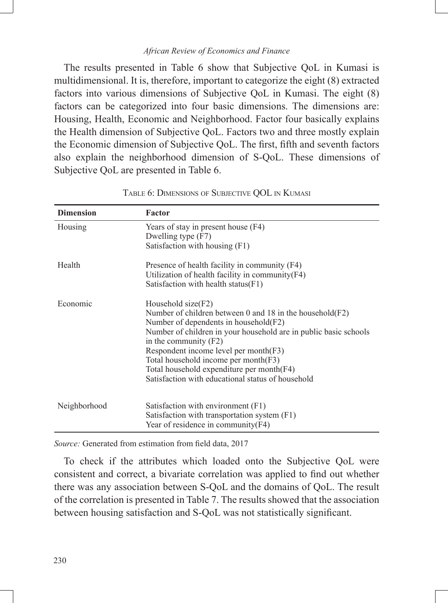The results presented in Table 6 show that Subjective QoL in Kumasi is multidimensional. It is, therefore, important to categorize the eight (8) extracted factors into various dimensions of Subjective QoL in Kumasi. The eight (8) factors can be categorized into four basic dimensions. The dimensions are: Housing, Health, Economic and Neighborhood. Factor four basically explains the Health dimension of Subjective QoL. Factors two and three mostly explain the Economic dimension of Subjective QoL. The first, fifth and seventh factors also explain the neighborhood dimension of S-QoL. These dimensions of Subjective QoL are presented in Table 6.

| <b>Dimension</b> | Factor                                                                                                                                                                                                                                                                                                                                                                                                          |
|------------------|-----------------------------------------------------------------------------------------------------------------------------------------------------------------------------------------------------------------------------------------------------------------------------------------------------------------------------------------------------------------------------------------------------------------|
| Housing          | Years of stay in present house (F4)<br>Dwelling type (F7)<br>Satisfaction with housing (F1)                                                                                                                                                                                                                                                                                                                     |
| Health           | Presence of health facility in community (F4)<br>Utilization of health facility in community $(F4)$<br>Satisfaction with health status $(F1)$                                                                                                                                                                                                                                                                   |
| Economic         | Household $size(F2)$<br>Number of children between 0 and 18 in the household $(F2)$<br>Number of dependents in household (F2)<br>Number of children in your household are in public basic schools<br>in the community $(F2)$<br>Respondent income level per month(F3)<br>Total household income per month(F3)<br>Total household expenditure per month(F4)<br>Satisfaction with educational status of household |
| Neighborhood     | Satisfaction with environment (F1)<br>Satisfaction with transportation system (F1)<br>Year of residence in community(F4)                                                                                                                                                                                                                                                                                        |

| TABLE 6: DIMENSIONS OF SUBJECTIVE QOL IN KUMASI |  |  |  |  |
|-------------------------------------------------|--|--|--|--|
|-------------------------------------------------|--|--|--|--|

*Source:* Generated from estimation from field data, 2017

To check if the attributes which loaded onto the Subjective QoL were consistent and correct, a bivariate correlation was applied to find out whether there was any association between S-QoL and the domains of QoL. The result of the correlation is presented in Table 7. The results showed that the association between housing satisfaction and S-QoL was not statistically significant.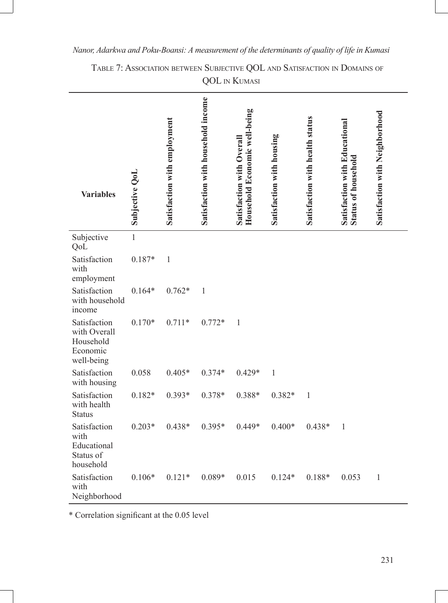| <b>Variables</b>                                                    | Subjective OoL | Satisfaction with employment | Satisfaction with household income | Household Economic well-being<br><b>Satisfaction with Overall</b> | Satisfaction with housing | Satisfaction with health status | Satisfaction with Educational<br><b>Status of household</b> | Satisfaction with Neighborhood |
|---------------------------------------------------------------------|----------------|------------------------------|------------------------------------|-------------------------------------------------------------------|---------------------------|---------------------------------|-------------------------------------------------------------|--------------------------------|
| Subjective<br>QoL                                                   | $\mathbf{1}$   |                              |                                    |                                                                   |                           |                                 |                                                             |                                |
| Satisfaction<br>with<br>employment                                  | $0.187*$       | $\mathbf{1}$                 |                                    |                                                                   |                           |                                 |                                                             |                                |
| Satisfaction<br>with household<br>income                            | $0.164*$       | $0.762*$                     | $\mathbf{1}$                       |                                                                   |                           |                                 |                                                             |                                |
| Satisfaction<br>with Overall<br>Household<br>Economic<br>well-being | $0.170*$       | $0.711*$                     | $0.772*$                           | $\,1\,$                                                           |                           |                                 |                                                             |                                |
| Satisfaction<br>with housing                                        | 0.058          | $0.405*$                     | $0.374*$                           | $0.429*$                                                          | $\mathbf{1}$              |                                 |                                                             |                                |
| Satisfaction<br>with health<br><b>Status</b>                        | $0.182*$       | $0.393*$                     | 0.378*                             | 0.388*                                                            | $0.382*$                  | $\mathbf{1}$                    |                                                             |                                |
| Satisfaction<br>with<br>Educational<br>Status of<br>household       | $0.203*$       | $0.438*$                     | $0.395*$                           | $0.449*$                                                          | $0.400*$                  | $0.438*$                        | $\mathbf{1}$                                                |                                |
| Satisfaction<br>with<br>Neighborhood                                | $0.106*$       | $0.121*$                     | $0.089*$                           | 0.015                                                             | $0.124*$                  | $0.188*$                        | 0.053                                                       | $\,1$                          |

Table 7: Association between Subjective QOL and Satisfaction in Domains of QOL in Kumasi

\* Correlation significant at the 0.05 level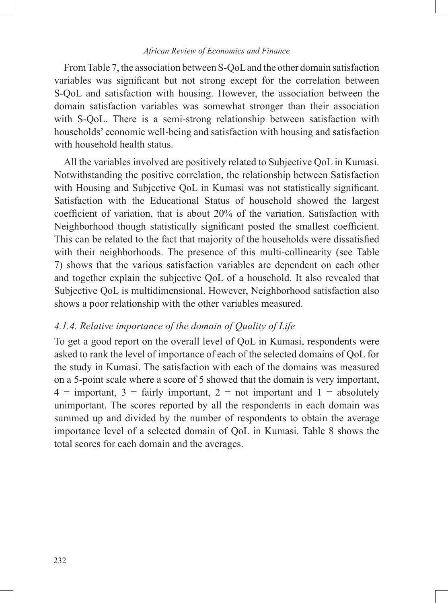From Table 7, the association between S-QoL and the other domain satisfaction variables was significant but not strong except for the correlation between S-QoL and satisfaction with housing. However, the association between the domain satisfaction variables was somewhat stronger than their association with S-QoL. There is a semi-strong relationship between satisfaction with households' economic well-being and satisfaction with housing and satisfaction with household health status.

All the variables involved are positively related to Subjective QoL in Kumasi. Notwithstanding the positive correlation, the relationship between Satisfaction with Housing and Subjective QoL in Kumasi was not statistically significant. Satisfaction with the Educational Status of household showed the largest coefficient of variation, that is about 20% of the variation. Satisfaction with Neighborhood though statistically significant posted the smallest coefficient. This can be related to the fact that majority of the households were dissatisfied with their neighborhoods. The presence of this multi-collinearity (see Table 7) shows that the various satisfaction variables are dependent on each other and together explain the subjective QoL of a household. It also revealed that Subjective QoL is multidimensional. However, Neighborhood satisfaction also shows a poor relationship with the other variables measured.

#### *4.1.4. Relative importance of the domain of Quality of Life*

To get a good report on the overall level of QoL in Kumasi, respondents were asked to rank the level of importance of each of the selected domains of QoL for the study in Kumasi. The satisfaction with each of the domains was measured on a 5-point scale where a score of 5 showed that the domain is very important,  $4 =$  important,  $3 =$  fairly important,  $2 =$  not important and  $1 =$  absolutely unimportant. The scores reported by all the respondents in each domain was summed up and divided by the number of respondents to obtain the average importance level of a selected domain of QoL in Kumasi. Table 8 shows the total scores for each domain and the averages.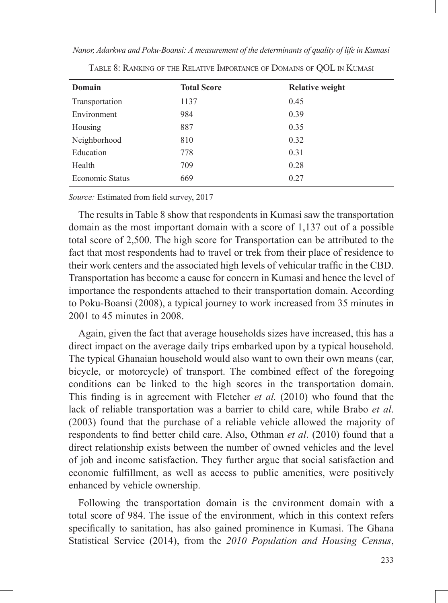| Domain          | <b>Total Score</b> | <b>Relative weight</b> |
|-----------------|--------------------|------------------------|
| Transportation  | 1137               | 0.45                   |
| Environment     | 984                | 0.39                   |
| Housing         | 887                | 0.35                   |
| Neighborhood    | 810                | 0.32                   |
| Education       | 778                | 0.31                   |
| Health          | 709                | 0.28                   |
| Economic Status | 669                | 0.27                   |

Table 8: Ranking of the Relative Importance of Domains of QOL in Kumasi

*Source:* Estimated from field survey, 2017

The results in Table 8 show that respondents in Kumasi saw the transportation domain as the most important domain with a score of 1,137 out of a possible total score of 2,500. The high score for Transportation can be attributed to the fact that most respondents had to travel or trek from their place of residence to their work centers and the associated high levels of vehicular traffic in the CBD. Transportation has become a cause for concern in Kumasi and hence the level of importance the respondents attached to their transportation domain. According to Poku-Boansi (2008), a typical journey to work increased from 35 minutes in 2001 to 45 minutes in 2008.

Again, given the fact that average households sizes have increased, this has a direct impact on the average daily trips embarked upon by a typical household. The typical Ghanaian household would also want to own their own means (car, bicycle, or motorcycle) of transport. The combined effect of the foregoing conditions can be linked to the high scores in the transportation domain. This finding is in agreement with Fletcher *et al.* (2010) who found that the lack of reliable transportation was a barrier to child care, while Brabo *et al*. (2003) found that the purchase of a reliable vehicle allowed the majority of respondents to find better child care. Also, Othman *et al*. (2010) found that a direct relationship exists between the number of owned vehicles and the level of job and income satisfaction. They further argue that social satisfaction and economic fulfillment, as well as access to public amenities, were positively enhanced by vehicle ownership.

Following the transportation domain is the environment domain with a total score of 984. The issue of the environment, which in this context refers specifically to sanitation, has also gained prominence in Kumasi. The Ghana Statistical Service (2014), from the *2010 Population and Housing Census*,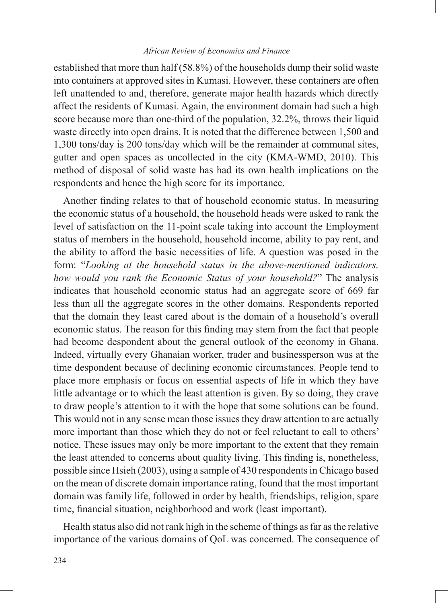established that more than half (58.8%) of the households dump their solid waste into containers at approved sites in Kumasi. However, these containers are often left unattended to and, therefore, generate major health hazards which directly affect the residents of Kumasi. Again, the environment domain had such a high score because more than one-third of the population, 32.2%, throws their liquid waste directly into open drains. It is noted that the difference between 1,500 and 1,300 tons/day is 200 tons/day which will be the remainder at communal sites, gutter and open spaces as uncollected in the city (KMA-WMD, 2010). This method of disposal of solid waste has had its own health implications on the respondents and hence the high score for its importance.

Another finding relates to that of household economic status. In measuring the economic status of a household, the household heads were asked to rank the level of satisfaction on the 11-point scale taking into account the Employment status of members in the household, household income, ability to pay rent, and the ability to afford the basic necessities of life. A question was posed in the form: "*Looking at the household status in the above-mentioned indicators, how would you rank the Economic Status of your household?*" The analysis indicates that household economic status had an aggregate score of 669 far less than all the aggregate scores in the other domains. Respondents reported that the domain they least cared about is the domain of a household's overall economic status. The reason for this finding may stem from the fact that people had become despondent about the general outlook of the economy in Ghana. Indeed, virtually every Ghanaian worker, trader and businessperson was at the time despondent because of declining economic circumstances. People tend to place more emphasis or focus on essential aspects of life in which they have little advantage or to which the least attention is given. By so doing, they crave to draw people's attention to it with the hope that some solutions can be found. This would not in any sense mean those issues they draw attention to are actually more important than those which they do not or feel reluctant to call to others' notice. These issues may only be more important to the extent that they remain the least attended to concerns about quality living. This finding is, nonetheless, possible since Hsieh (2003), using a sample of 430 respondents in Chicago based on the mean of discrete domain importance rating, found that the most important domain was family life, followed in order by health, friendships, religion, spare time, financial situation, neighborhood and work (least important).

Health status also did not rank high in the scheme of things as far as the relative importance of the various domains of QoL was concerned. The consequence of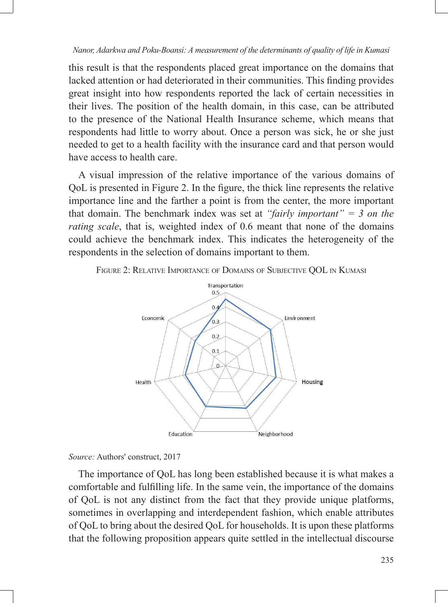this result is that the respondents placed great importance on the domains that lacked attention or had deteriorated in their communities. This finding provides great insight into how respondents reported the lack of certain necessities in their lives. The position of the health domain, in this case, can be attributed to the presence of the National Health Insurance scheme, which means that respondents had little to worry about. Once a person was sick, he or she just needed to get to a health facility with the insurance card and that person would have access to health care.

A visual impression of the relative importance of the various domains of QoL is presented in Figure 2. In the figure, the thick line represents the relative importance line and the farther a point is from the center, the more important that domain. The benchmark index was set at *"fairly important" = 3 on the rating scale*, that is, weighted index of 0.6 meant that none of the domains could achieve the benchmark index. This indicates the heterogeneity of the respondents in the selection of domains important to them.





*Source:* Authors' construct, 2017

The importance of QoL has long been established because it is what makes a comfortable and fulfilling life. In the same vein, the importance of the domains of QoL is not any distinct from the fact that they provide unique platforms, sometimes in overlapping and interdependent fashion, which enable attributes of QoL to bring about the desired QoL for households. It is upon these platforms that the following proposition appears quite settled in the intellectual discourse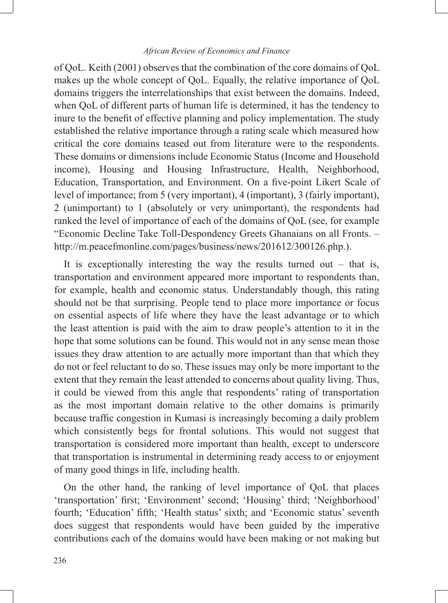of QoL. Keith (2001) observes that the combination of the core domains of QoL makes up the whole concept of QoL. Equally, the relative importance of QoL domains triggers the interrelationships that exist between the domains. Indeed, when QoL of different parts of human life is determined, it has the tendency to inure to the benefit of effective planning and policy implementation. The study established the relative importance through a rating scale which measured how critical the core domains teased out from literature were to the respondents. These domains or dimensions include Economic Status (Income and Household income), Housing and Housing Infrastructure, Health, Neighborhood, Education, Transportation, and Environment. On a five-point Likert Scale of level of importance; from 5 (very important), 4 (important), 3 (fairly important), 2 (unimportant) to 1 (absolutely or very unimportant), the respondents had ranked the level of importance of each of the domains of QoL (see, for example "Economic Decline Take Toll-Despondency Greets Ghanaians on all Fronts. – http://m.peacefmonline.com/pages/business/news/201612/300126.php.).

It is exceptionally interesting the way the results turned out  $-$  that is, transportation and environment appeared more important to respondents than, for example, health and economic status. Understandably though, this rating should not be that surprising. People tend to place more importance or focus on essential aspects of life where they have the least advantage or to which the least attention is paid with the aim to draw people's attention to it in the hope that some solutions can be found. This would not in any sense mean those issues they draw attention to are actually more important than that which they do not or feel reluctant to do so. These issues may only be more important to the extent that they remain the least attended to concerns about quality living. Thus, it could be viewed from this angle that respondents' rating of transportation as the most important domain relative to the other domains is primarily because traffic congestion in Kumasi is increasingly becoming a daily problem which consistently begs for frontal solutions. This would not suggest that transportation is considered more important than health, except to underscore that transportation is instrumental in determining ready access to or enjoyment of many good things in life, including health.

On the other hand, the ranking of level importance of QoL that places 'transportation' first; 'Environment' second; 'Housing' third; 'Neighborhood' fourth; 'Education' fifth; 'Health status' sixth; and 'Economic status' seventh does suggest that respondents would have been guided by the imperative contributions each of the domains would have been making or not making but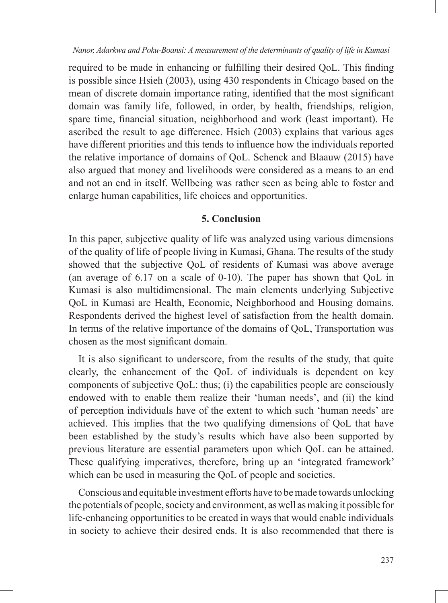required to be made in enhancing or fulfilling their desired QoL. This finding is possible since Hsieh (2003), using 430 respondents in Chicago based on the mean of discrete domain importance rating, identified that the most significant domain was family life, followed, in order, by health, friendships, religion, spare time, financial situation, neighborhood and work (least important). He ascribed the result to age difference. Hsieh (2003) explains that various ages have different priorities and this tends to influence how the individuals reported the relative importance of domains of QoL. Schenck and Blaauw (2015) have also argued that money and livelihoods were considered as a means to an end and not an end in itself. Wellbeing was rather seen as being able to foster and enlarge human capabilities, life choices and opportunities.

## **5. Conclusion**

In this paper, subjective quality of life was analyzed using various dimensions of the quality of life of people living in Kumasi, Ghana. The results of the study showed that the subjective QoL of residents of Kumasi was above average (an average of 6.17 on a scale of 0-10). The paper has shown that QoL in Kumasi is also multidimensional. The main elements underlying Subjective QoL in Kumasi are Health, Economic, Neighborhood and Housing domains. Respondents derived the highest level of satisfaction from the health domain. In terms of the relative importance of the domains of QoL, Transportation was chosen as the most significant domain.

It is also significant to underscore, from the results of the study, that quite clearly, the enhancement of the QoL of individuals is dependent on key components of subjective QoL: thus; (i) the capabilities people are consciously endowed with to enable them realize their 'human needs', and (ii) the kind of perception individuals have of the extent to which such 'human needs' are achieved. This implies that the two qualifying dimensions of QoL that have been established by the study's results which have also been supported by previous literature are essential parameters upon which QoL can be attained. These qualifying imperatives, therefore, bring up an 'integrated framework' which can be used in measuring the QoL of people and societies.

Conscious and equitable investment efforts have to be made towards unlocking the potentials of people, society and environment, as well as making it possible for life-enhancing opportunities to be created in ways that would enable individuals in society to achieve their desired ends. It is also recommended that there is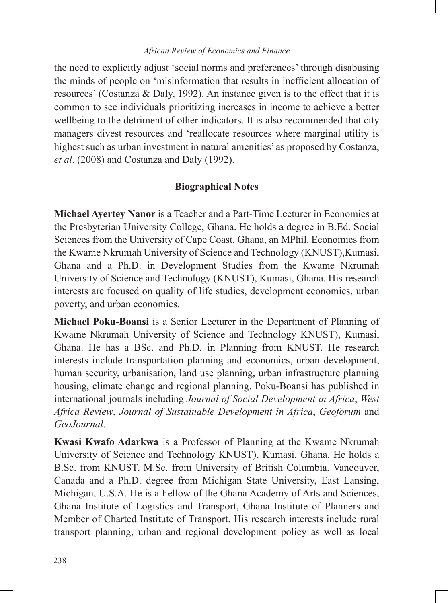the need to explicitly adjust 'social norms and preferences' through disabusing the minds of people on 'misinformation that results in inefficient allocation of resources' (Costanza & Daly, 1992). An instance given is to the effect that it is common to see individuals prioritizing increases in income to achieve a better wellbeing to the detriment of other indicators. It is also recommended that city managers divest resources and 'reallocate resources where marginal utility is highest such as urban investment in natural amenities' as proposed by Costanza, *et al*. (2008) and Costanza and Daly (1992).

## **Biographical Notes**

**Michael Ayertey Nanor** is a Teacher and a Part-Time Lecturer in Economics at the Presbyterian University College, Ghana. He holds a degree in B.Ed. Social Sciences from the University of Cape Coast, Ghana, an MPhil. Economics from the Kwame Nkrumah University of Science and Technology (KNUST),Kumasi, Ghana and a Ph.D. in Development Studies from the Kwame Nkrumah University of Science and Technology (KNUST), Kumasi, Ghana. His research interests are focused on quality of life studies, development economics, urban poverty, and urban economics.

**Michael Poku-Boansi** is a Senior Lecturer in the Department of Planning of Kwame Nkrumah University of Science and Technology KNUST), Kumasi, Ghana. He has a BSc. and Ph.D. in Planning from KNUST. He research interests include transportation planning and economics, urban development, human security, urbanisation, land use planning, urban infrastructure planning housing, climate change and regional planning. Poku-Boansi has published in international journals including *Journal of Social Development in Africa*, *West Africa Review*, *Journal of Sustainable Development in Africa*, *Geoforum* and *GeoJournal*.

**Kwasi Kwafo Adarkwa** is a Professor of Planning at the Kwame Nkrumah University of Science and Technology KNUST), Kumasi, Ghana. He holds a B.Sc. from KNUST, M.Sc. from University of British Columbia, Vancouver, Canada and a Ph.D. degree from Michigan State University, East Lansing, Michigan, U.S.A. He is a Fellow of the Ghana Academy of Arts and Sciences, Ghana Institute of Logistics and Transport, Ghana Institute of Planners and Member of Charted Institute of Transport. His research interests include rural transport planning, urban and regional development policy as well as local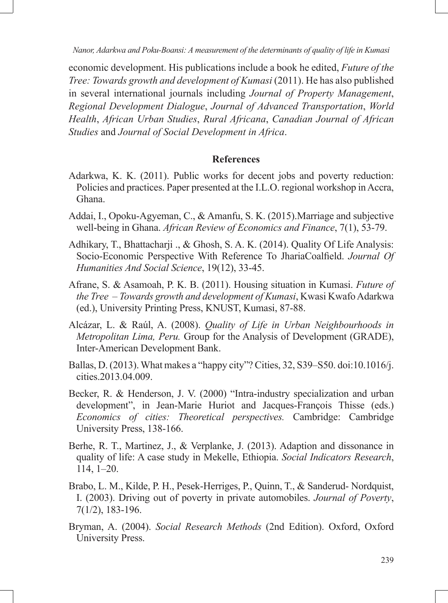economic development. His publications include a book he edited, *Future of the Tree: Towards growth and development of Kumasi* (2011). He has also published in several international journals including *Journal of Property Management*, *Regional Development Dialogue*, *Journal of Advanced Transportation*, *World Health*, *African Urban Studies*, *Rural Africana*, *Canadian Journal of African Studies* and *Journal of Social Development in Africa*.

#### **References**

- Adarkwa, K. K. (2011). Public works for decent jobs and poverty reduction: Policies and practices. Paper presented at the I.L.O. regional workshop in Accra, Ghana.
- Addai, I., Opoku-Agyeman, C., & Amanfu, S. K. (2015).Marriage and subjective well-being in Ghana. *African Review of Economics and Finance*, 7(1), 53-79.
- Adhikary, T., Bhattacharji ., & Ghosh, S. A. K. (2014). Quality Of Life Analysis: Socio-Economic Perspective With Reference To JhariaCoalfield. *Journal Of Humanities And Social Science*, 19(12), 33-45.
- Afrane, S. & Asamoah, P. K. B. (2011). Housing situation in Kumasi. *Future of the Tree – Towards growth and development of Kumasi*, Kwasi Kwafo Adarkwa (ed.), University Printing Press, KNUST, Kumasi, 87-88.
- Alcázar, L. & Raúl, A. (2008). *Quality of Life in Urban Neighbourhoods in Metropolitan Lima, Peru.* Group for the Analysis of Development (GRADE), Inter-American Development Bank.
- Ballas, D. (2013). What makes a "happy city"? Cities, 32, S39–S50. doi:10.1016/j. cities.2013.04.009.
- Becker, R. & Henderson, J. V. (2000) "Intra-industry specialization and urban development", in Jean-Marie Huriot and Jacques-François Thisse (eds.) *Economics of cities: Theoretical perspectives.* Cambridge: Cambridge University Press, 138-166.
- Berhe, R. T., Martinez, J., & Verplanke, J. (2013). Adaption and dissonance in quality of life: A case study in Mekelle, Ethiopia. *Social Indicators Research*, 114, 1–20.
- Brabo, L. M., Kilde, P. H., Pesek-Herriges, P., Quinn, T., & Sanderud- Nordquist, I. (2003). Driving out of poverty in private automobiles. *Journal of Poverty*, 7(1/2), 183-196.
- Bryman, A. (2004). *Social Research Methods* (2nd Edition). Oxford, Oxford University Press.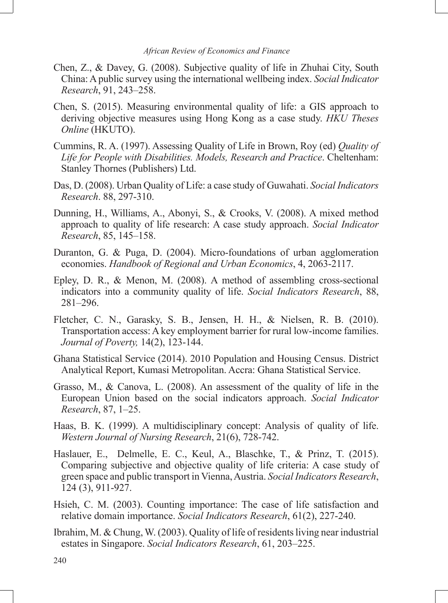- Chen, Z., & Davey, G. (2008). Subjective quality of life in Zhuhai City, South China: A public survey using the international wellbeing index. *Social Indicator Research*, 91, 243–258.
- Chen, S. (2015). Measuring environmental quality of life: a GIS approach to deriving objective measures using Hong Kong as a case study. *HKU Theses Online* (HKUTO).
- Cummins, R. A. (1997). Assessing Quality of Life in Brown, Roy (ed) *Quality of Life for People with Disabilities. Models, Research and Practice*. Cheltenham: Stanley Thornes (Publishers) Ltd.
- Das, D. (2008). Urban Quality of Life: a case study of Guwahati. *Social Indicators Research*. 88, 297-310.
- Dunning, H., Williams, A., Abonyi, S., & Crooks, V. (2008). A mixed method approach to quality of life research: A case study approach. *Social Indicator Research*, 85, 145–158.
- Duranton, G. & Puga, D. (2004). Micro-foundations of urban agglomeration economies. *Handbook of Regional and Urban Economics*, 4, 2063-2117.
- Epley, D. R., & Menon, M. (2008). A method of assembling cross-sectional indicators into a community quality of life. *Social Indicators Research*, 88, 281–296.
- Fletcher, C. N., Garasky, S. B., Jensen, H. H., & Nielsen, R. B. (2010). Transportation access: A key employment barrier for rural low-income families. *Journal of Poverty,* 14(2), 123-144.
- Ghana Statistical Service (2014). 2010 Population and Housing Census. District Analytical Report, Kumasi Metropolitan. Accra: Ghana Statistical Service.
- Grasso, M., & Canova, L. (2008). An assessment of the quality of life in the European Union based on the social indicators approach. *Social Indicator Research*, 87, 1–25.
- Haas, B. K. (1999). A multidisciplinary concept: Analysis of quality of life. *Western Journal of Nursing Research*, 21(6), 728-742.
- Haslauer, E., Delmelle, E. C., Keul, A., Blaschke, T., & Prinz, T. (2015). Comparing subjective and objective quality of life criteria: A case study of green space and public transport in Vienna, Austria. *Social Indicators Research*, 124 (3), 911-927.
- Hsieh, C. M. (2003). Counting importance: The case of life satisfaction and relative domain importance. *Social Indicators Research*, 61(2), 227-240.
- Ibrahim, M. & Chung, W. (2003). Quality of life of residents living near industrial estates in Singapore. *Social Indicators Research*, 61, 203–225.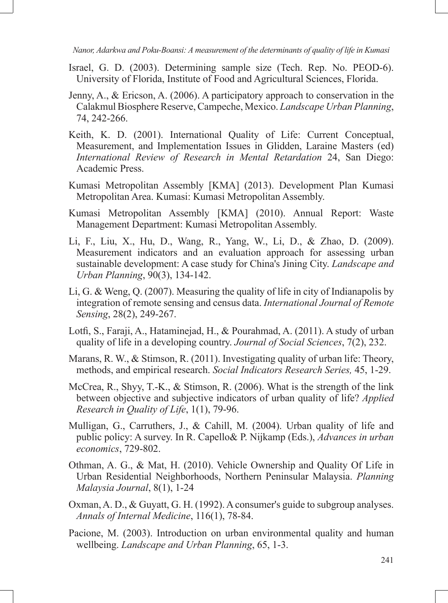- Israel, G. D. (2003). Determining sample size (Tech. Rep. No. PEOD-6). University of Florida, Institute of Food and Agricultural Sciences, Florida.
- Jenny, A., & Ericson, A. (2006). A participatory approach to conservation in the Calakmul Biosphere Reserve, Campeche, Mexico. *Landscape Urban Planning*, 74, 242-266.
- Keith, K. D. (2001). International Quality of Life: Current Conceptual, Measurement, and Implementation Issues in Glidden, Laraine Masters (ed) *International Review of Research in Mental Retardation* 24, San Diego: Academic Press.
- Kumasi Metropolitan Assembly [KMA] (2013). Development Plan Kumasi Metropolitan Area. Kumasi: Kumasi Metropolitan Assembly.
- Kumasi Metropolitan Assembly [KMA] (2010). Annual Report: Waste Management Department: Kumasi Metropolitan Assembly.
- Li, F., Liu, X., Hu, D., Wang, R., Yang, W., Li, D., & Zhao, D. (2009). Measurement indicators and an evaluation approach for assessing urban sustainable development: A case study for China's Jining City. *Landscape and Urban Planning*, 90(3), 134-142.
- Li, G. & Weng, Q. (2007). Measuring the quality of life in city of Indianapolis by integration of remote sensing and census data. *International Journal of Remote Sensing*, 28(2), 249-267.
- Lotfi, S., Faraji, A., Hataminejad, H., & Pourahmad, A. (2011). A study of urban quality of life in a developing country. *Journal of Social Sciences*, 7(2), 232.
- Marans, R. W., & Stimson, R. (2011). Investigating quality of urban life: Theory, methods, and empirical research. *Social Indicators Research Series,* 45, 1-29.
- McCrea, R., Shyy, T.-K., & Stimson, R. (2006). What is the strength of the link between objective and subjective indicators of urban quality of life? *Applied Research in Quality of Life*, 1(1), 79-96.
- Mulligan, G., Carruthers, J., & Cahill, M. (2004). Urban quality of life and public policy: A survey. In R. Capello& P. Nijkamp (Eds.), *Advances in urban economics*, 729-802.
- Othman, A. G., & Mat, H. (2010). Vehicle Ownership and Quality Of Life in Urban Residential Neighborhoods, Northern Peninsular Malaysia. *Planning Malaysia Journal*, 8(1), 1-24
- Oxman, A. D., & Guyatt, G. H. (1992). A consumer's guide to subgroup analyses. *Annals of Internal Medicine*, 116(1), 78-84.
- Pacione, M. (2003). Introduction on urban environmental quality and human wellbeing. *Landscape and Urban Planning*, 65, 1-3.